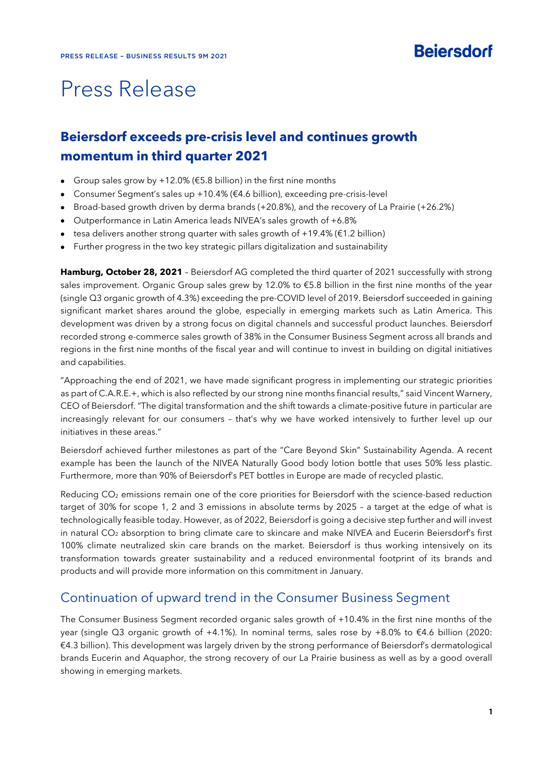# Press Release

# **Beiersdorf exceeds pre-crisis level and continues growth momentum in third quarter 2021**

- Group sales grow by +12.0% ( $$5.8$  billion) in the first nine months
- Consumer Segment's sales up +10.4% (€4.6 billion), exceeding pre-crisis-level
- Broad-based growth driven by derma brands (+20.8%), and the recovery of La Prairie (+26.2%)
- Outperformance in Latin America leads NIVEA's sales growth of +6.8%
- $\bullet$  tesa delivers another strong quarter with sales growth of +19.4% ( $\epsilon$ 1.2 billion)
- Further progress in the two key strategic pillars digitalization and sustainability

**Hamburg, October 28, 2021** – Beiersdorf AG completed the third quarter of 2021 successfully with strong sales improvement. Organic Group sales grew by 12.0% to €5.8 billion in the first nine months of the year (single Q3 organic growth of 4.3%) exceeding the pre-COVID level of 2019. Beiersdorf succeeded in gaining significant market shares around the globe, especially in emerging markets such as Latin America. This development was driven by a strong focus on digital channels and successful product launches. Beiersdorf recorded strong e-commerce sales growth of 38% in the Consumer Business Segment across all brands and regions in the first nine months of the fiscal year and will continue to invest in building on digital initiatives and capabilities.

"Approaching the end of 2021, we have made significant progress in implementing our strategic priorities as part of C.A.R.E.+, which is also reflected by our strong nine months financial results," said Vincent Warnery, CEO of Beiersdorf. "The digital transformation and the shift towards a climate-positive future in particular are increasingly relevant for our consumers – that's why we have worked intensively to further level up our initiatives in these areas."

Beiersdorf achieved further milestones as part of the "Care Beyond Skin" Sustainability Agenda. A recent example has been the launch of the NIVEA Naturally Good body lotion bottle that uses 50% less plastic. Furthermore, more than 90% of Beiersdorf's PET bottles in Europe are made of recycled plastic.

Reducing CO<sub>2</sub> emissions remain one of the core priorities for Beiersdorf with the science-based reduction target of 30% for scope 1, 2 and 3 emissions in absolute terms by 2025 – a target at the edge of what is technologically feasible today. However, as of 2022, Beiersdorf is going a decisive step further and will invest in natural CO<sub>2</sub> absorption to bring climate care to skincare and make NIVEA and Eucerin Beiersdorf's first 100% climate neutralized skin care brands on the market. Beiersdorf is thus working intensively on its transformation towards greater sustainability and a reduced environmental footprint of its brands and products and will provide more information on this commitment in January.

### Continuation of upward trend in the Consumer Business Segment

The Consumer Business Segment recorded organic sales growth of +10.4% in the first nine months of the year (single Q3 organic growth of +4.1%). In nominal terms, sales rose by +8.0% to €4.6 billion (2020: €4.3 billion). This development was largely driven by the strong performance of Beiersdorf's dermatological brands Eucerin and Aquaphor, the strong recovery of our La Prairie business as well as by a good overall showing in emerging markets.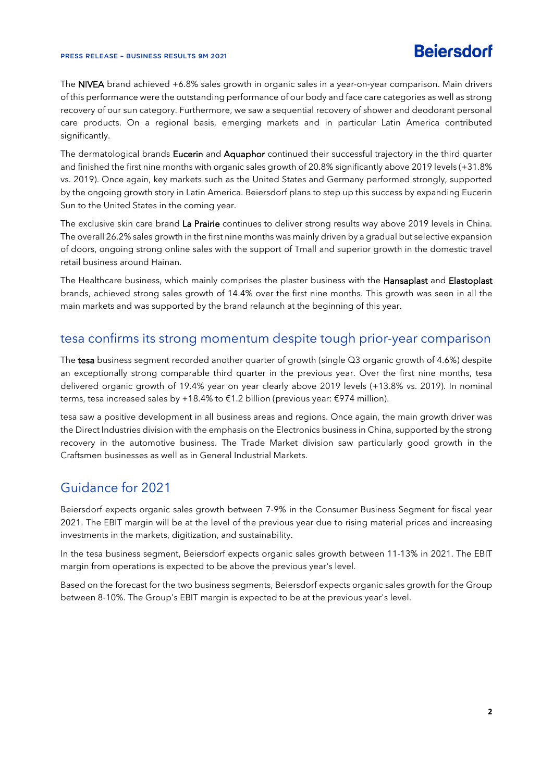#### PRESS RELEASE – BUSINESS RESULTS 9M 2021

The NIVEA brand achieved +6.8% sales growth in organic sales in a year-on-year comparison. Main drivers of this performance were the outstanding performance of our body and face care categories as well as strong recovery of our sun category. Furthermore, we saw a sequential recovery of shower and deodorant personal care products. On a regional basis, emerging markets and in particular Latin America contributed significantly.

The dermatological brands Eucerin and Aquaphor continued their successful trajectory in the third quarter and finished the first nine months with organic sales growth of 20.8% significantly above 2019 levels (+31.8% vs. 2019). Once again, key markets such as the United States and Germany performed strongly, supported by the ongoing growth story in Latin America. Beiersdorf plans to step up this success by expanding Eucerin Sun to the United States in the coming year.

The exclusive skin care brand La Prairie continues to deliver strong results way above 2019 levels in China. The overall 26.2% sales growth in the first nine months was mainly driven by a gradual but selective expansion of doors, ongoing strong online sales with the support of Tmall and superior growth in the domestic travel retail business around Hainan.

The Healthcare business, which mainly comprises the plaster business with the Hansaplast and Elastoplast brands, achieved strong sales growth of 14.4% over the first nine months. This growth was seen in all the main markets and was supported by the brand relaunch at the beginning of this year.

### tesa confirms its strong momentum despite tough prior-year comparison

The tesa business segment recorded another quarter of growth (single Q3 organic growth of 4.6%) despite an exceptionally strong comparable third quarter in the previous year. Over the first nine months, tesa delivered organic growth of 19.4% year on year clearly above 2019 levels (+13.8% vs. 2019). In nominal terms, tesa increased sales by +18.4% to €1.2 billion (previous year: €974 million).

tesa saw a positive development in all business areas and regions. Once again, the main growth driver was the Direct Industries division with the emphasis on the Electronics business in China, supported by the strong recovery in the automotive business. The Trade Market division saw particularly good growth in the Craftsmen businesses as well as in General Industrial Markets.

# Guidance for 2021

Beiersdorf expects organic sales growth between 7-9% in the Consumer Business Segment for fiscal year 2021. The EBIT margin will be at the level of the previous year due to rising material prices and increasing investments in the markets, digitization, and sustainability.

In the tesa business segment, Beiersdorf expects organic sales growth between 11-13% in 2021. The EBIT margin from operations is expected to be above the previous year's level.

Based on the forecast for the two business segments, Beiersdorf expects organic sales growth for the Group between 8-10%. The Group's EBIT margin is expected to be at the previous year's level.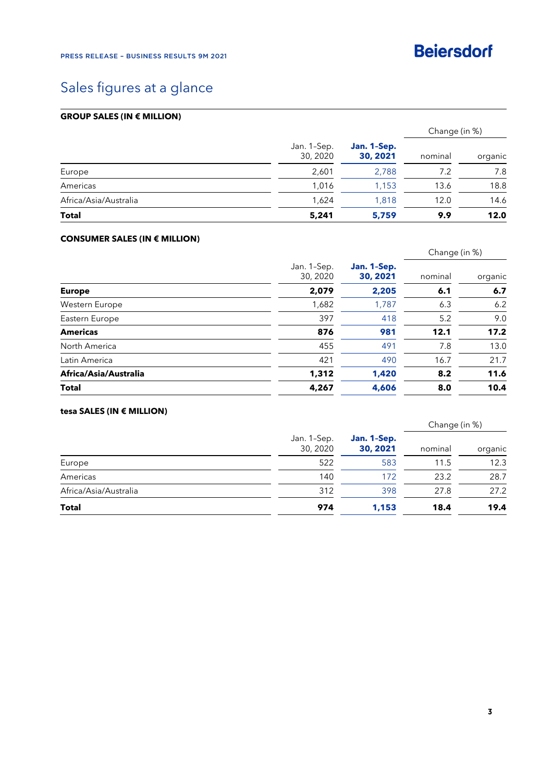

# Sales figures at a glance

### **GROUP SALES (IN € MILLION)**

|                       |                         | Jan. 1-Sep.<br>30, 2021 | Change (in %) |         |
|-----------------------|-------------------------|-------------------------|---------------|---------|
|                       | Jan. 1-Sep.<br>30, 2020 |                         | nominal       | organic |
| Europe                | 2,601                   | 2.788                   | 7.2           | 7.8     |
| Americas              | 1.016                   | 1,153                   | 13.6          | 18.8    |
| Africa/Asia/Australia | 1,624                   | 1.818                   | 12.0          | 14.6    |
| <b>Total</b>          | 5,241                   | 5,759                   | 9.9           | 12.0    |

### **CONSUMER SALES (IN € MILLION)**

|                       |       | Jan. 1-Sep.<br>Jan. 1-Sep.<br>30, 2020<br>30, 2021 | Change (in %) |         |
|-----------------------|-------|----------------------------------------------------|---------------|---------|
|                       |       |                                                    | nominal       | organic |
| <b>Europe</b>         | 2,079 | 2,205                                              | 6.1           | 6.7     |
| Western Europe        | 1,682 | 1,787                                              | 6.3           | 6.2     |
| Eastern Europe        | 397   | 418                                                | 5.2           | 9.0     |
| <b>Americas</b>       | 876   | 981                                                | 12.1          | 17.2    |
| North America         | 455   | 491                                                | 7.8           | 13.0    |
| Latin America         | 421   | 490                                                | 16.7          | 21.7    |
| Africa/Asia/Australia | 1,312 | 1,420                                              | 8.2           | 11.6    |
| <b>Total</b>          | 4,267 | 4,606                                              | 8.0           | 10.4    |

### **tesa SALES (IN € MILLION)**

|                       |                         | Jan. 1-Sep.<br>30, 2021 | Change (in %) |         |
|-----------------------|-------------------------|-------------------------|---------------|---------|
|                       | Jan. 1-Sep.<br>30, 2020 |                         | nominal       | organic |
| Europe                | 522                     | 583                     | 11.5          | 12.3    |
| Americas              | 140                     | 172                     | 23.2          | 28.7    |
| Africa/Asia/Australia | 312                     | 398                     | 27.8          | 27.2    |
| <b>Total</b>          | 974                     | 1,153                   | 18.4          | 19.4    |